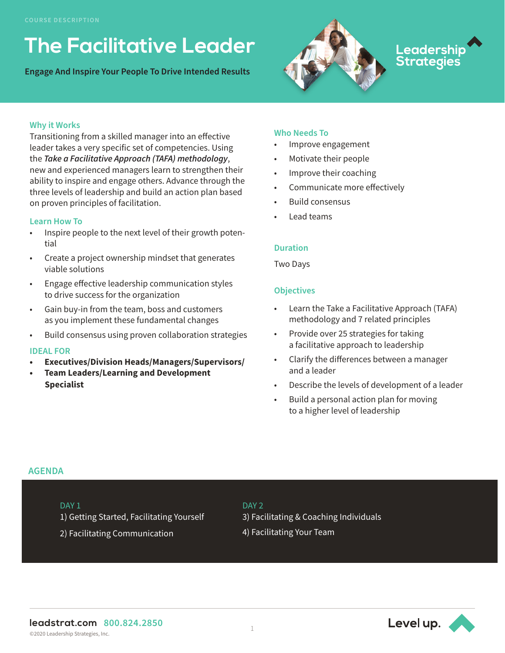# **The Facilitative Leader**

**Engage And Inspire Your People To Drive Intended Results**



# Leadershi<mark>p</mark><br>Strategies

# **Why it Works**

Transitioning from a skilled manager into an effective leader takes a very specific set of competencies. Using the *Take a Facilitative Approach (TAFA) methodology*, new and experienced managers learn to strengthen their ability to inspire and engage others. Advance through the three levels of leadership and build an action plan based on proven principles of facilitation.

# **Learn How To**

- Inspire people to the next level of their growth potential
- Create a project ownership mindset that generates viable solutions
- Engage effective leadership communication styles to drive success for the organization
- Gain buy-in from the team, boss and customers as you implement these fundamental changes
- Build consensus using proven collaboration strategies

# **IDEAL FOR**

- **• Executives/Division Heads/Managers/Supervisors/**
- **• Team Leaders/Learning and Development Specialist**

# **Who Needs To**

- Improve engagement
- Motivate their people
- Improve their coaching
- Communicate more effectively
- Build consensus
- Lead teams

#### **Duration**

Two Days

# **Objectives**

- Learn the Take a Facilitative Approach (TAFA) methodology and 7 related principles
- Provide over 25 strategies for taking a facilitative approach to leadership
- Clarify the differences between a manager and a leader
- Describe the levels of development of a leader
- Build a personal action plan for moving to a higher level of leadership

# **AGENDA**

# DAY<sub>1</sub>

1) Getting Started, Facilitating Yourself

2) Facilitating Communication

#### DAY<sub>2</sub>

3) Facilitating & Coaching Individuals

4) Facilitating Your Team